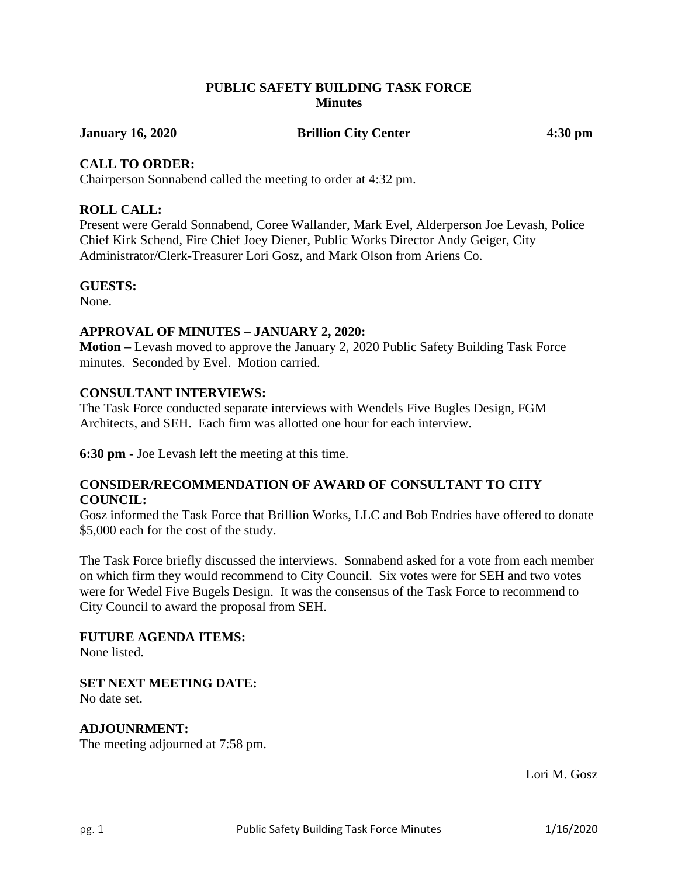## **PUBLIC SAFETY BUILDING TASK FORCE Minutes**

**January 16, 2020 Brillion City Center 4:30 pm**

## **CALL TO ORDER:**

Chairperson Sonnabend called the meeting to order at 4:32 pm.

## **ROLL CALL:**

Present were Gerald Sonnabend, Coree Wallander, Mark Evel, Alderperson Joe Levash, Police Chief Kirk Schend, Fire Chief Joey Diener, Public Works Director Andy Geiger, City Administrator/Clerk-Treasurer Lori Gosz, and Mark Olson from Ariens Co.

#### **GUESTS:**

None.

## **APPROVAL OF MINUTES – JANUARY 2, 2020:**

**Motion –** Levash moved to approve the January 2, 2020 Public Safety Building Task Force minutes. Seconded by Evel. Motion carried.

## **CONSULTANT INTERVIEWS:**

The Task Force conducted separate interviews with Wendels Five Bugles Design, FGM Architects, and SEH. Each firm was allotted one hour for each interview.

**6:30 pm -** Joe Levash left the meeting at this time.

## **CONSIDER/RECOMMENDATION OF AWARD OF CONSULTANT TO CITY COUNCIL:**

Gosz informed the Task Force that Brillion Works, LLC and Bob Endries have offered to donate \$5,000 each for the cost of the study.

The Task Force briefly discussed the interviews. Sonnabend asked for a vote from each member on which firm they would recommend to City Council. Six votes were for SEH and two votes were for Wedel Five Bugels Design. It was the consensus of the Task Force to recommend to City Council to award the proposal from SEH.

#### **FUTURE AGENDA ITEMS:**

None listed.

**SET NEXT MEETING DATE:** No date set.

# **ADJOUNRMENT:**

The meeting adjourned at 7:58 pm.

Lori M. Gosz